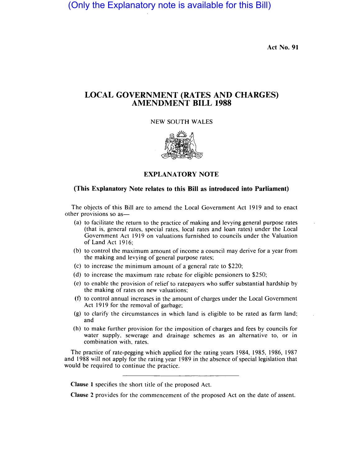(Only the Explanatory note is available for this Bill)

Act No. 91

# LOCAL GOVERNMENT (RATES AND CHARGES) AMENDMENT BILL 1988

# NEW SOUTH WALES



# EXPLANATORY NOTE

# (This Explanatory Note relates to this Bill as introduced into Parliament)

The objects of this Bill are to amend the Local Government Act 1919 and to enact other provisions so as-

- (a) to facilitate the return to the practice of making and levying general purpose rates (that is, general rates, special rates, local rates and loan rates) under the Local Government Act 1919 on valuations furnished to councils under the Valuation of Land Act 1916;
- (b) to control the maximum amount of income a council may derive for a year from the making and levying of general purpose rates;
- (c) to increase the minimum amount of a general rate to \$220;
- (d) to increase the maximum rate rebate for eligible pensioners to \$250;
- (e) to enable the provision of relief to ratepayers who suffer substantial hardship by the making of rates on new valuations;
- (f) to control annual increases in the amount of charges under the Local Government Act 1919 for the removal of garbage;
- (g) to clarify the circumstances in which land is eligible to be rated as farm land; and
- (h) to make further provision for the imposition of charges and fees by councils for water supply. sewerage and drainage schemes as an alternative to, or in combination with. rates.

The practice of rate-pegging which applied for the rating years 1984, 1985, 1986, 1987 and 1988 will not apply for the rating year 1989 in the absence of special legislation that would be required to continue the practice.

Clause 1 specifies the short title of the proposed Act.

Clause 2 provides for the commencement of the proposed Act on the date of assent.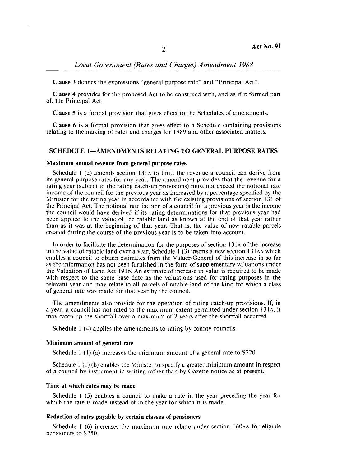# Local Government (Rates and Charges) Amendment 1988

Clause 3 defines the expressions "general purpose rate" and "Principal Act".

Clause 4 provides for the proposed Act to be construed with, and as if it formed part of, the Principal Act.

Clause 5 is a formal provision that gives effect to the Schedules of amendments.

Clause  $6$  is a formal provision that gives effect to a Schedule containing provisions relating to the making of rates and charges for 1989 and other associated matters.

# SCHEDULE 1-AMENDMENTS RELATING TO GENERAL PURPOSE RATES

#### Maximum annual revenue from general purpose rates

Schedule  $1(2)$  amends section 131 $\alpha$  to limit the revenue a council can derive from its general purpose rates for any year. The amendment provides that the revenue for a rating year (subject to the rating catch-up provisions) must not exceed the notional rate income of the council for the previous year as increased by a percentage specified by the Minister for the rating year in accordance with the existing provisions of section 131 of the Principal Act. The notional rate income of a council for a previous year is the income the council would have derived if its rating determinations for that previous year had been applied to the value of the ratable land as known at the end of that year rather than as it was at the beginning of that year. That is, the value of new ratable parcels created during the course of the previous year is to be taken into account.

In order to facilitate the determination for the purposes of section 131A of the increase in the value of ratable land over a year, Schedule  $1(3)$  inserts a new section 131AA which enables a council to obtain estimates from the Valuer-General of this increase in so far as the information has not been furnished in the form of supplementary valuations under the Valuation of Land Act 1916. An estimate of increase in value is required to be made with respect to the same base date as the valuations used for rating purposes in the relevant year and may relate to all parcels of ratable land of the kind for which a class of general rate was made for that year by the council.

The amendments also provide for the operation of rating catch-up provisions. If, in a year, a council has not rated to the maximum extent permitted under section 131A, it may catch up the shortfall over a maximum of 2 years after the shortfall occurred.

Schedule 1 (4) applies the amendments to rating by county councils.

#### Minimum amount of general rate

Schedule 1 (I) (a) increases the minimum amount of a general rate to \$220.

Schedule 1 (1) (b) enables the Minister to specify a greater minimum amount in respect of a council by instrument in writing rather than by Gazette notice as at present.

#### Time at which rates may be made

Schedule  $1$  (5) enables a council to make a rate in the year preceding the year for which the rate is made instead of in the year for which it is made.

## Reduction of rates payable by certain classes of pensioners

Schedule  $1(6)$  increases the maximum rate rebate under section 160 $A$ A for eligible pensioners to \$250.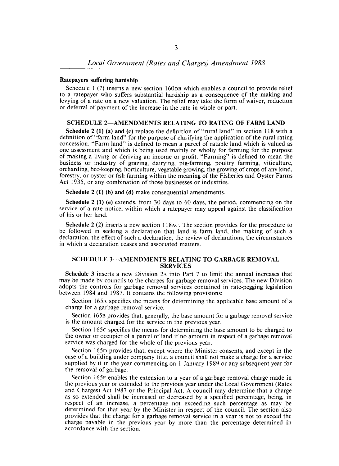## Ratepayers suffering hardship

Schedule I (7) inserts a new section 160D8 which enables a council to provide relief to a ratepayer who suffers substantial hardship as a consequence of the making and levying of a rate on a new valuation. The relief may take the form of waiver, reduction or deferral of payment of the increase in the rate in whole or part.

## SCHEDULE 2-AMENDMENTS RELATING TO RATING OF FARM LAND

Schedule 2 (1) (a) and (c) replace the definition of "rural land" in section 118 with a definition of "farm land" for the purpose of clarifying the application of the rural rating concession. "Farm land" is defined to mean a parcel of ratable land which is valued as one assessment and which is being used mainly or wholly for farming for the purpose of making a living or deriving an income or profit. "Farming" is defined to mean the business or industry of grazing, dairying, pig-farming, poultry farming, viticulture, orcharding, bee-keeping, horticulture, vegetable growing, the growing of crops of any kind, forestry, or oyster or fish farming within the meaning of the Fisheries and Oyster Farms Act 1935, or any combination of those businesses or industries.

Schedule 2 (1) (b) and (d) make consequential amendments.

Schedule 2 (1) (e) extends, from 30 days to 60 days, the period, commencing on the service of a rate notice, within which a ratepayer may appeal against the classification of his or her land.

Schedule 2 (2) inserts a new section 118AC. The section provides for the procedure to be followed in seeking a declaration that land is farm land, the making of such a declaration, the effect of such a declaration, the review of declarations, the circumstances in which a declaration ceases and associated matters.

## SCHEDULE 3-AMENDMENTS RELATING TO GARBAGE REMOVAL SERVICES

Schedule 3 inserts a new Division 2A into Part 7 to limit the annual increases that may be made by councils to the charges for garbage removal services. The new Division adopts the controls for garbage removal services contained in rate-pegging legislation between 1984 and 1987. It contains the following provisions:

Section 165A specifies the means for determining the applicable base amount of a charge for a garbage removal service.

Section 1658 provides that, generally, the base amount for a garbage removal service is the amount charged for the service in the previous year.

Section 165c specifies the means for determining the base amount to be charged to the owner or occupier of a parcel of land if no amount in respect of a garbage removal service was charged for the whole of the previous year.

Section 165D provides that, except where the Minister consents, and except in the case of a building under company title, a council shall not make a charge for a service supplied by it in the year commencing on I January 1989 or any subsequent year for the removal of garbage.

Section 165E enables the extension to a year of a garbage removal charge made in the previous year or extended to the previous year under the Local Government (Rates and Charges) Act 1987 or the Principal Act. A council may determine that a charge as so extended shall be increased or decreased by a specified percentage, being, in respect of an increase. a percentage not exceeding such percentage as may be determined for that year by the Minister in respect of the council. The section also provides that the charge for a garbage removal service in a year is not to exceed the charge payable in the previous year by more than the percentage determined in accordance with the section.